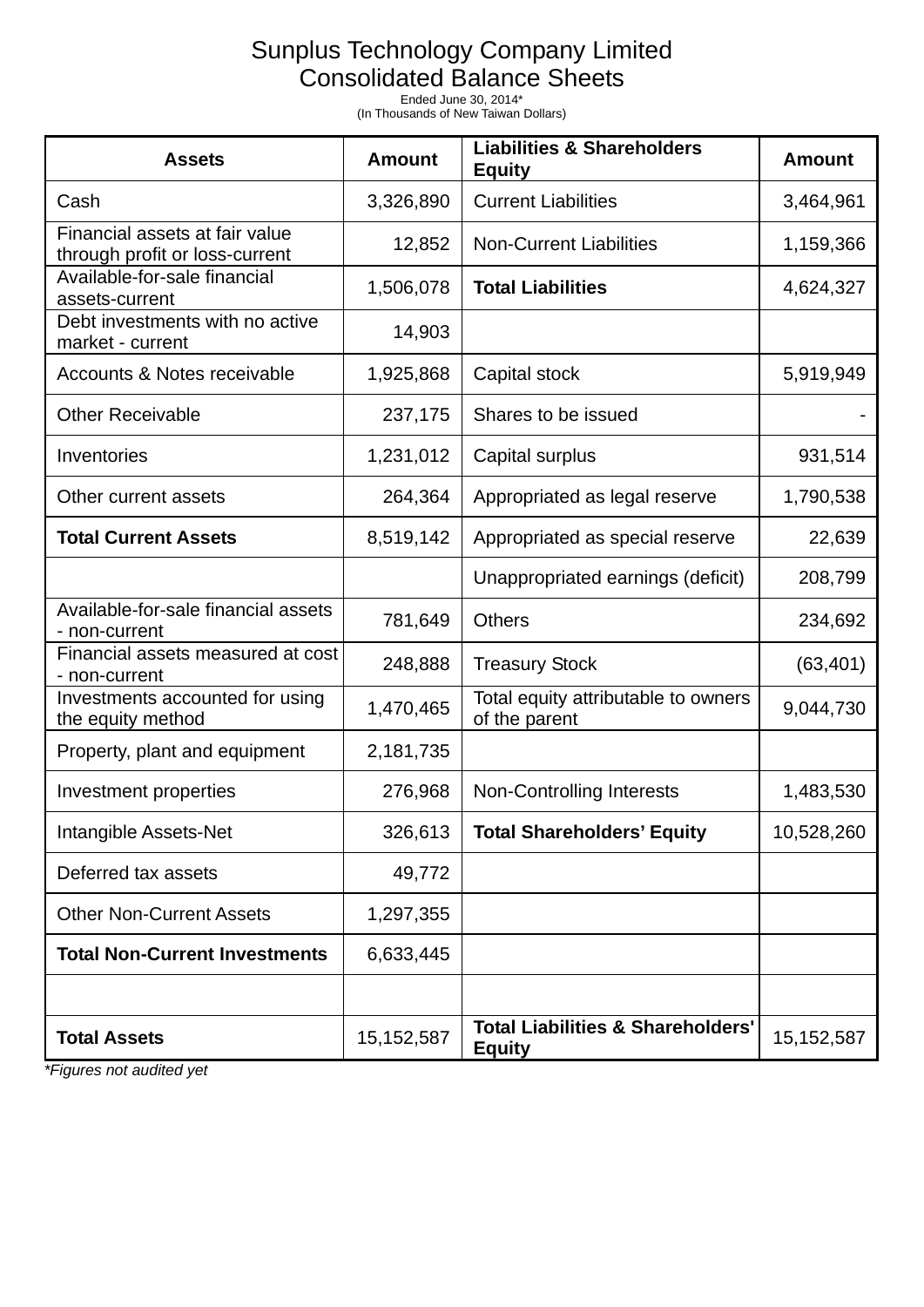## Sunplus Technology Company Limited

Consolidated Balance Sheets

Ended June 30, 2014\* (In Thousands of New Taiwan Dollars)

| <b>Assets</b>                                                    | <b>Amount</b> | <b>Liabilities &amp; Shareholders</b><br><b>Equity</b>        | <b>Amount</b> |
|------------------------------------------------------------------|---------------|---------------------------------------------------------------|---------------|
| Cash                                                             | 3,326,890     | <b>Current Liabilities</b>                                    | 3,464,961     |
| Financial assets at fair value<br>through profit or loss-current | 12,852        | <b>Non-Current Liabilities</b>                                | 1,159,366     |
| Available-for-sale financial<br>assets-current                   | 1,506,078     | <b>Total Liabilities</b>                                      | 4,624,327     |
| Debt investments with no active<br>market - current              | 14,903        |                                                               |               |
| Accounts & Notes receivable                                      | 1,925,868     | Capital stock                                                 | 5,919,949     |
| <b>Other Receivable</b>                                          | 237,175       | Shares to be issued                                           |               |
| Inventories                                                      | 1,231,012     | Capital surplus                                               | 931,514       |
| Other current assets                                             | 264,364       | Appropriated as legal reserve                                 | 1,790,538     |
| <b>Total Current Assets</b>                                      | 8,519,142     | Appropriated as special reserve                               | 22,639        |
|                                                                  |               | Unappropriated earnings (deficit)                             | 208,799       |
| Available-for-sale financial assets<br>- non-current             | 781,649       | <b>Others</b>                                                 | 234,692       |
| Financial assets measured at cost<br>- non-current               | 248,888       | <b>Treasury Stock</b>                                         | (63, 401)     |
| Investments accounted for using<br>the equity method             | 1,470,465     | Total equity attributable to owners<br>of the parent          | 9,044,730     |
| Property, plant and equipment                                    | 2,181,735     |                                                               |               |
| Investment properties                                            | 276,968       | <b>Non-Controlling Interests</b>                              | 1,483,530     |
| Intangible Assets-Net                                            | 326,613       | <b>Total Shareholders' Equity</b>                             | 10,528,260    |
| Deferred tax assets                                              | 49,772        |                                                               |               |
| <b>Other Non-Current Assets</b>                                  | 1,297,355     |                                                               |               |
| <b>Total Non-Current Investments</b>                             | 6,633,445     |                                                               |               |
|                                                                  |               |                                                               |               |
| <b>Total Assets</b>                                              | 15, 152, 587  | <b>Total Liabilities &amp; Shareholders'</b><br><b>Equity</b> | 15, 152, 587  |

*\*Figures not audited yet*